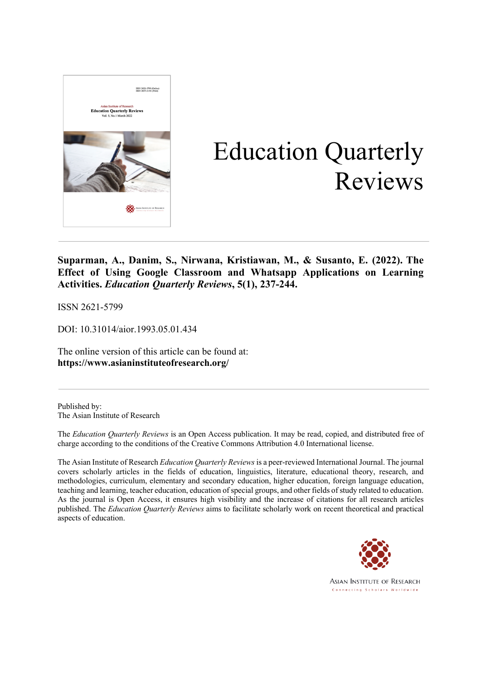

# Education Quarterly Reviews

**Suparman, A., Danim, S., Nirwana, Kristiawan, M., & Susanto, E. (2022). The Effect of Using Google Classroom and Whatsapp Applications on Learning Activities.** *Education Quarterly Reviews***, 5(1), 237-244.**

ISSN 2621-5799

DOI: 10.31014/aior.1993.05.01.434

The online version of this article can be found at: **https://www.asianinstituteofresearch.org/**

Published by: The Asian Institute of Research

The *Education Quarterly Reviews* is an Open Access publication. It may be read, copied, and distributed free of charge according to the conditions of the Creative Commons Attribution 4.0 International license.

The Asian Institute of Research *Education Quarterly Reviews* is a peer-reviewed International Journal. The journal covers scholarly articles in the fields of education, linguistics, literature, educational theory, research, and methodologies, curriculum, elementary and secondary education, higher education, foreign language education, teaching and learning, teacher education, education of special groups, and other fields of study related to education. As the journal is Open Access, it ensures high visibility and the increase of citations for all research articles published. The *Education Quarterly Reviews* aims to facilitate scholarly work on recent theoretical and practical aspects of education.



**ASIAN INSTITUTE OF RESEARCH** Connecting Scholars Worldwide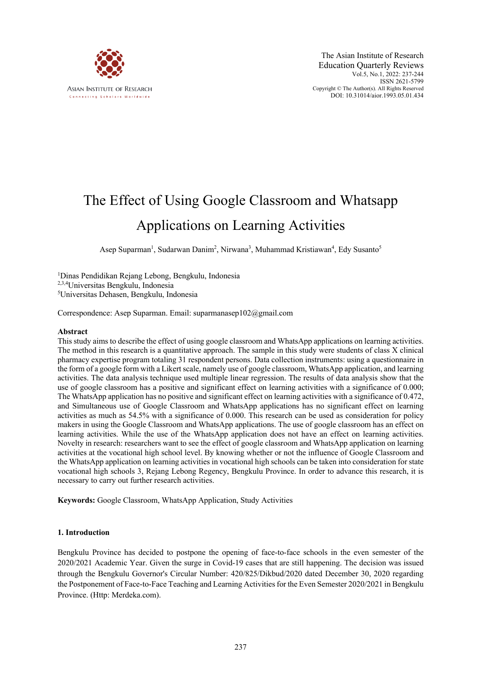

# The Effect of Using Google Classroom and Whatsapp Applications on Learning Activities

Asep Suparman<sup>1</sup>, Sudarwan Danim<sup>2</sup>, Nirwana<sup>3</sup>, Muhammad Kristiawan<sup>4</sup>, Edy Susanto<sup>5</sup>

1 Dinas Pendidikan Rejang Lebong, Bengkulu, Indonesia 2,3,4Universitas Bengkulu, Indonesia 5 Universitas Dehasen, Bengkulu, Indonesia

Correspondence: Asep Suparman. Email: suparmanasep102@gmail.com

#### **Abstract**

This study aims to describe the effect of using google classroom and WhatsApp applications on learning activities. The method in this research is a quantitative approach. The sample in this study were students of class X clinical pharmacy expertise program totaling 31 respondent persons. Data collection instruments: using a questionnaire in the form of a google form with a Likert scale, namely use of google classroom, WhatsApp application, and learning activities. The data analysis technique used multiple linear regression. The results of data analysis show that the use of google classroom has a positive and significant effect on learning activities with a significance of 0.000; The WhatsApp application has no positive and significant effect on learning activities with a significance of 0.472, and Simultaneous use of Google Classroom and WhatsApp applications has no significant effect on learning activities as much as 54.5% with a significance of 0.000. This research can be used as consideration for policy makers in using the Google Classroom and WhatsApp applications. The use of google classroom has an effect on learning activities. While the use of the WhatsApp application does not have an effect on learning activities. Novelty in research: researchers want to see the effect of google classroom and WhatsApp application on learning activities at the vocational high school level. By knowing whether or not the influence of Google Classroom and the WhatsApp application on learning activities in vocational high schools can be taken into consideration for state vocational high schools 3, Rejang Lebong Regency, Bengkulu Province. In order to advance this research, it is necessary to carry out further research activities.

**Keywords:** Google Classroom, WhatsApp Application, Study Activities

#### **1. Introduction**

Bengkulu Province has decided to postpone the opening of face-to-face schools in the even semester of the 2020/2021 Academic Year. Given the surge in Covid-19 cases that are still happening. The decision was issued through the Bengkulu Governor's Circular Number: 420/825/Dikbud/2020 dated December 30, 2020 regarding the Postponement of Face-to-Face Teaching and Learning Activities for the Even Semester 2020/2021 in Bengkulu Province. (Http: Merdeka.com).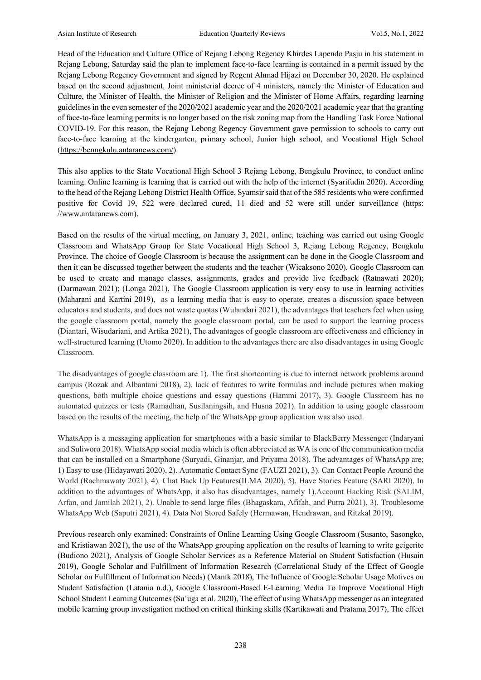Head of the Education and Culture Office of Rejang Lebong Regency Khirdes Lapendo Pasju in his statement in Rejang Lebong, Saturday said the plan to implement face-to-face learning is contained in a permit issued by the Rejang Lebong Regency Government and signed by Regent Ahmad Hijazi on December 30, 2020. He explained based on the second adjustment. Joint ministerial decree of 4 ministers, namely the Minister of Education and Culture, the Minister of Health, the Minister of Religion and the Minister of Home Affairs, regarding learning guidelines in the even semester of the 2020/2021 academic year and the 2020/2021 academic year that the granting of face-to-face learning permits is no longer based on the risk zoning map from the Handling Task Force National COVID-19. For this reason, the Rejang Lebong Regency Government gave permission to schools to carry out face-to-face learning at the kindergarten, primary school, Junior high school, and Vocational High School (https://benngkulu.antaranews.com/).

This also applies to the State Vocational High School 3 Rejang Lebong, Bengkulu Province, to conduct online learning. Online learning is learning that is carried out with the help of the internet (Syarifudin 2020). According to the head of the Rejang Lebong District Health Office, Syamsir said that of the 585 residents who were confirmed positive for Covid 19, 522 were declared cured, 11 died and 52 were still under surveillance (https: //www.antaranews.com).

Based on the results of the virtual meeting, on January 3, 2021, online, teaching was carried out using Google Classroom and WhatsApp Group for State Vocational High School 3, Rejang Lebong Regency, Bengkulu Province. The choice of Google Classroom is because the assignment can be done in the Google Classroom and then it can be discussed together between the students and the teacher (Wicaksono 2020), Google Classroom can be used to create and manage classes, assignments, grades and provide live feedback (Ratnawati 2020); (Darmawan 2021); (Longa 2021), The Google Classroom application is very easy to use in learning activities (Maharani and Kartini 2019), as a learning media that is easy to operate, creates a discussion space between educators and students, and does not waste quotas (Wulandari 2021), the advantages that teachers feel when using the google classroom portal, namely the google classroom portal, can be used to support the learning process (Diantari, Wisudariani, and Artika 2021), The advantages of google classroom are effectiveness and efficiency in well-structured learning (Utomo 2020). In addition to the advantages there are also disadvantages in using Google Classroom.

The disadvantages of google classroom are 1). The first shortcoming is due to internet network problems around campus (Rozak and Albantani 2018), 2). lack of features to write formulas and include pictures when making questions, both multiple choice questions and essay questions (Hammi 2017), 3). Google Classroom has no automated quizzes or tests (Ramadhan, Susilaningsih, and Husna 2021). In addition to using google classroom based on the results of the meeting, the help of the WhatsApp group application was also used.

WhatsApp is a messaging application for smartphones with a basic similar to BlackBerry Messenger (Indaryani and Suliworo 2018). WhatsApp social media which is often abbreviated as WA is one of the communication media that can be installed on a Smartphone (Suryadi, Ginanjar, and Priyatna 2018). The advantages of WhatsApp are; 1) Easy to use (Hidayawati 2020), 2). Automatic Contact Sync (FAUZI 2021), 3). Can Contact People Around the World (Rachmawaty 2021), 4). Chat Back Up Features(ILMA 2020), 5). Have Stories Feature (SARI 2020). In addition to the advantages of WhatsApp, it also has disadvantages, namely 1).Account Hacking Risk (SALIM, Arfan, and Jamilah 2021), 2). Unable to send large files (Bhagaskara, Afifah, and Putra 2021), 3). Troublesome WhatsApp Web (Saputri 2021), 4). Data Not Stored Safely (Hermawan, Hendrawan, and Ritzkal 2019).

Previous research only examined: Constraints of Online Learning Using Google Classroom (Susanto, Sasongko, and Kristiawan 2021), the use of the WhatsApp grouping application on the results of learning to write geigerite (Budiono 2021), Analysis of Google Scholar Services as a Reference Material on Student Satisfaction (Husain 2019), Google Scholar and Fulfillment of Information Research (Correlational Study of the Effect of Google Scholar on Fulfillment of Information Needs) (Manik 2018), The Influence of Google Scholar Usage Motives on Student Satisfaction (Latania n.d.), Google Classroom-Based E-Learning Media To Improve Vocational High School Student Learning Outcomes (Su'uga et al. 2020), The effect of using WhatsApp messenger as an integrated mobile learning group investigation method on critical thinking skills (Kartikawati and Pratama 2017), The effect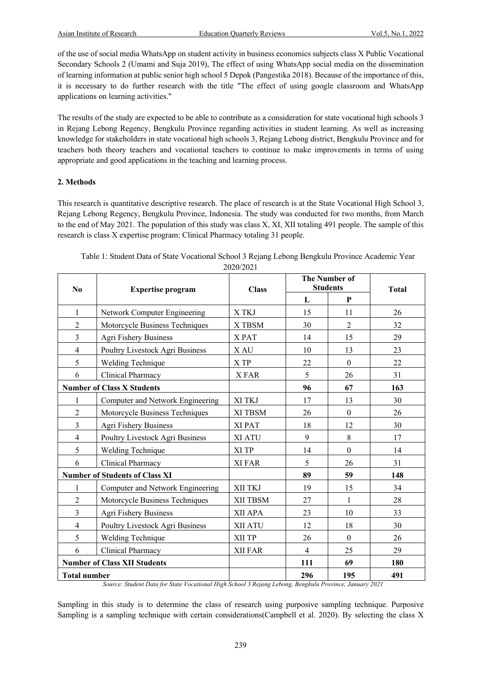of the use of social media WhatsApp on student activity in business economics subjects class X Public Vocational Secondary Schools 2 (Umami and Suja 2019), The effect of using WhatsApp social media on the dissemination of learning information at public senior high school 5 Depok (Pangestika 2018). Because of the importance of this, it is necessary to do further research with the title "The effect of using google classroom and WhatsApp applications on learning activities."

The results of the study are expected to be able to contribute as a consideration for state vocational high schools 3 in Rejang Lebong Regency, Bengkulu Province regarding activities in student learning. As well as increasing knowledge for stakeholders in state vocational high schools 3, Rejang Lebong district, Bengkulu Province and for teachers both theory teachers and vocational teachers to continue to make improvements in terms of using appropriate and good applications in the teaching and learning process.

## **2. Methods**

This research is quantitative descriptive research. The place of research is at the State Vocational High School 3, Rejang Lebong Regency, Bengkulu Province, Indonesia. The study was conducted for two months, from March to the end of May 2021. The population of this study was class X, XI, XII totaling 491 people. The sample of this research is class X expertise program: Clinical Pharmacy totaling 31 people.

| $\bf No$            | <b>Expertise program</b>              | <b>Class</b> |     | <b>The Number of</b><br><b>Students</b> |     |
|---------------------|---------------------------------------|--------------|-----|-----------------------------------------|-----|
|                     |                                       |              | L   | P                                       |     |
| $\mathbf{1}$        | Network Computer Engineering          | X TKJ        | 15  | 11                                      | 26  |
| $\overline{2}$      | Motorcycle Business Techniques        | X TBSM       | 30  | $\overline{2}$                          | 32  |
| $\overline{3}$      | Agri Fishery Business                 | XPAT         | 14  | 15                                      | 29  |
| $\overline{4}$      | Poultry Livestock Agri Business       | X AU         | 10  | 13                                      | 23  |
| 5                   | Welding Technique                     | X TP         | 22  | $\boldsymbol{0}$                        | 22  |
| 6                   | Clinical Pharmacy                     | X FAR        | 5   | 26                                      | 31  |
|                     | <b>Number of Class X Students</b>     |              | 96  | 67                                      | 163 |
| 1                   | Computer and Network Engineering      | XI TKJ       | 17  | 13                                      | 30  |
| $\mathbf{2}$        | Motorcycle Business Techniques        | XI TBSM      | 26  | $\boldsymbol{0}$                        | 26  |
| $\overline{3}$      | Agri Fishery Business                 | XI PAT       | 18  | 12                                      | 30  |
| $\overline{4}$      | Poultry Livestock Agri Business       | XI ATU       | 9   | 8                                       | 17  |
| 5                   | Welding Technique                     | XI TP        | 14  | $\boldsymbol{0}$                        | 14  |
| 6                   | Clinical Pharmacy                     | XI FAR       | 5   | 26                                      | 31  |
|                     | <b>Number of Students of Class XI</b> |              | 89  | 59                                      | 148 |
| 1                   | Computer and Network Engineering      | XII TKJ      | 19  | 15                                      | 34  |
| $\overline{2}$      | Motorcycle Business Techniques        | XII TBSM     | 27  | $\mathbf{1}$                            | 28  |
| $\overline{3}$      | Agri Fishery Business                 | XII APA      | 23  | 10                                      | 33  |
| $\overline{4}$      | Poultry Livestock Agri Business       | XII ATU      | 12  | 18                                      | 30  |
| 5                   | Welding Technique                     | XII TP       | 26  | $\mathbf{0}$                            | 26  |
| 6                   | Clinical Pharmacy                     | XII FAR      | 4   | 25                                      | 29  |
|                     | <b>Number of Class XII Students</b>   |              | 111 | 69                                      | 180 |
| <b>Total number</b> |                                       |              | 296 | 195                                     | 491 |

| Table 1: Student Data of State Vocational School 3 Rejang Lebong Bengkulu Province Academic Year |  |
|--------------------------------------------------------------------------------------------------|--|
| 2020/2021                                                                                        |  |

Sampling in this study is to determine the class of research using purposive sampling technique. Purposive Sampling is a sampling technique with certain considerations(Campbell et al. 2020). By selecting the class X

*Source: Student Data for State Vocational High School 3 Rejang Lebong, Bengkulu Province, January 2021*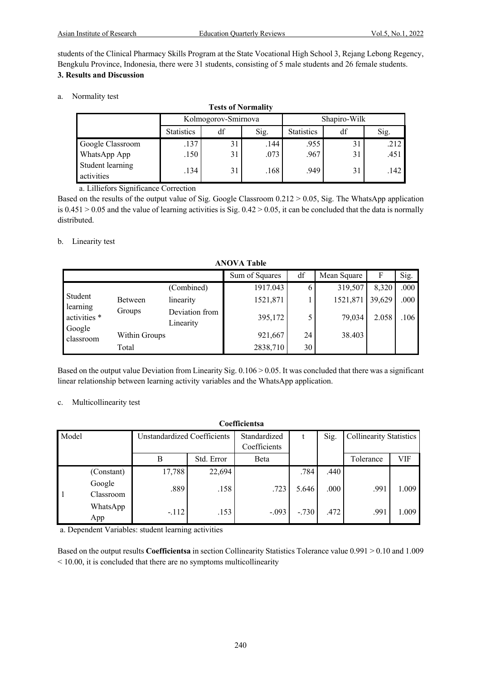students of the Clinical Pharmacy Skills Program at the State Vocational High School 3, Rejang Lebong Regency, Bengkulu Province, Indonesia, there were 31 students, consisting of 5 male students and 26 female students. **3. Results and Discussion** 

**Tests of Normality**

a. Normality test

| <b>Tests of Normality</b>      |                     |    |      |                   |    |      |  |  |  |
|--------------------------------|---------------------|----|------|-------------------|----|------|--|--|--|
|                                | Kolmogorov-Smirnova |    |      | Shapiro-Wilk      |    |      |  |  |  |
|                                | <b>Statistics</b>   | df | Sig. | <b>Statistics</b> | df | Sig. |  |  |  |
| Google Classroom               | .137                | 31 | .144 | .955              | 31 | .212 |  |  |  |
| WhatsApp App                   | $.150$ <sup>1</sup> | 31 | .073 | .967              | 31 | .451 |  |  |  |
| Student learning<br>activities | .134                | 31 | .168 | .949              | 31 | .142 |  |  |  |

a. Lilliefors Significance Correction

Based on the results of the output value of Sig. Google Classroom 0.212 > 0.05, Sig. The WhatsApp application is  $0.451 > 0.05$  and the value of learning activities is Sig.  $0.42 > 0.05$ , it can be concluded that the data is normally distributed.

## b. Linearity test

| AIWYA TAVIC                        |                |                             |                |    |             |        |      |  |  |  |
|------------------------------------|----------------|-----------------------------|----------------|----|-------------|--------|------|--|--|--|
|                                    |                |                             | Sum of Squares | df | Mean Square | F      | Sig. |  |  |  |
|                                    |                | (Combined)                  | 1917.043       | o  | 319,507     | 8,320  | .000 |  |  |  |
| Student                            | <b>Between</b> | linearity                   | 1521,871       |    | 1521,871    | 39,629 | .000 |  |  |  |
| learning<br>activities *<br>Google | Groups         | Deviation from<br>Linearity | 395,172        |    | 79,034      | 2.058  | .106 |  |  |  |
| classroom                          | Within Groups  |                             | 921,667        | 24 | 38.403      |        |      |  |  |  |
|                                    | Total          |                             | 2838,710       | 30 |             |        |      |  |  |  |

**ANOVA Table**

Based on the output value Deviation from Linearity Sig.  $0.106 > 0.05$ . It was concluded that there was a significant linear relationship between learning activity variables and the WhatsApp application.

#### c. Multicollinearity test

| Coefficientsa |                     |                             |            |              |           |      |                                |       |  |  |
|---------------|---------------------|-----------------------------|------------|--------------|-----------|------|--------------------------------|-------|--|--|
| Model         |                     | Unstandardized Coefficients |            | Standardized | Sig.<br>t |      | <b>Collinearity Statistics</b> |       |  |  |
|               |                     |                             |            | Coefficients |           |      |                                |       |  |  |
|               |                     | В                           | Std. Error | Beta         |           |      | Tolerance                      | VIF   |  |  |
|               | (Constant)          | 17,788                      | 22,694     |              | .784      | .440 |                                |       |  |  |
|               | Google<br>Classroom | .889                        | .158       | .723         | 5.646     | .000 | .991                           | 1.009 |  |  |
|               | WhatsApp<br>App     | $-.112$                     | .153       | $-.093$      | $-.730$   | .472 | .991                           | 1.009 |  |  |

a. Dependent Variables: student learning activities

Based on the output results **Coefficientsa** in section Collinearity Statistics Tolerance value 0.991 > 0.10 and 1.009 < 10.00, it is concluded that there are no symptoms multicollinearity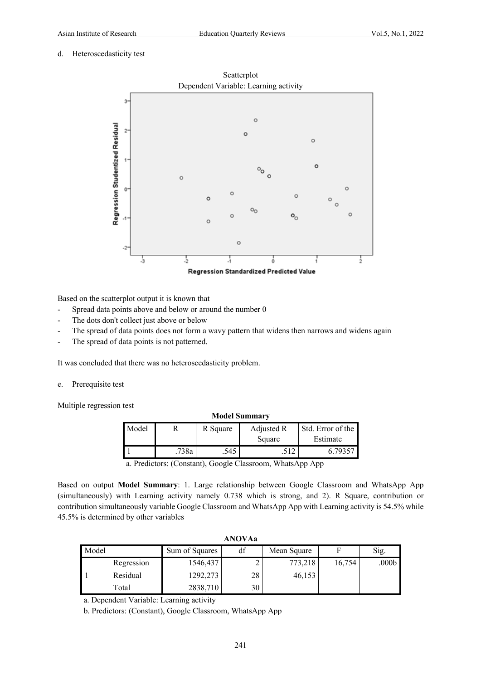#### d. Heteroscedasticity test



Based on the scatterplot output it is known that

- Spread data points above and below or around the number 0
- The dots don't collect just above or below
- The spread of data points does not form a wavy pattern that widens then narrows and widens again
- The spread of data points is not patterned.

It was concluded that there was no heteroscedasticity problem.

e. Prerequisite test

Multiple regression test

| <b>Model Summary</b> |      |          |            |                   |  |  |  |  |  |
|----------------------|------|----------|------------|-------------------|--|--|--|--|--|
| Model                |      | R Square | Adjusted R | Std. Error of the |  |  |  |  |  |
|                      |      |          | Square     | Estimate          |  |  |  |  |  |
|                      | 738a | .545     |            | 6.79357           |  |  |  |  |  |
|                      |      |          |            |                   |  |  |  |  |  |

a. Predictors: (Constant), Google Classroom, WhatsApp App

Based on output **Model Summary**: 1. Large relationship between Google Classroom and WhatsApp App (simultaneously) with Learning activity namely 0.738 which is strong, and 2). R Square, contribution or contribution simultaneously variable Google Classroom and WhatsApp App with Learning activity is 54.5% while 45.5% is determined by other variables

| <b>ANOVAa</b> |            |                |    |             |        |                   |  |  |
|---------------|------------|----------------|----|-------------|--------|-------------------|--|--|
| Model         |            | Sum of Squares | df | Mean Square | F      | Sig.              |  |  |
|               | Regression | 1546,437       |    | 773,218     | 16,754 | .000 <sub>b</sub> |  |  |
|               | Residual   | 1292,273       | 28 | 46,153      |        |                   |  |  |
|               | Total      | 2838,710       | 30 |             |        |                   |  |  |

a. Dependent Variable: Learning activity

b. Predictors: (Constant), Google Classroom, WhatsApp App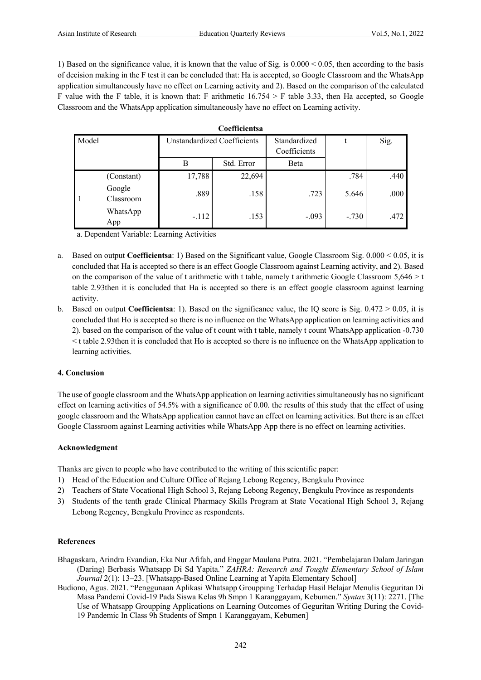1) Based on the significance value, it is known that the value of Sig. is 0.000 < 0.05, then according to the basis of decision making in the F test it can be concluded that: Ha is accepted, so Google Classroom and the WhatsApp application simultaneously have no effect on Learning activity and 2). Based on the comparison of the calculated F value with the F table, it is known that: F arithmetic  $16.754 > F$  table 3.33, then Ha accepted, so Google Classroom and the WhatsApp application simultaneously have no effect on Learning activity.

**Coefficientsa**

| $\sim$ |                     |                                    |            |                              |         |      |  |  |  |
|--------|---------------------|------------------------------------|------------|------------------------------|---------|------|--|--|--|
| Model  |                     | <b>Unstandardized Coefficients</b> |            | Standardized<br>Coefficients |         | Sig. |  |  |  |
|        |                     | B                                  | Std. Error | Beta                         |         |      |  |  |  |
|        | (Constant)          | 17,788                             | 22,694     |                              | .784    | .440 |  |  |  |
|        | Google<br>Classroom | .889                               | .158       | .723                         | 5.646   | .000 |  |  |  |
|        | WhatsApp<br>App     | $-112$                             | .153       | $-.093$                      | $-.730$ | .472 |  |  |  |

a. Dependent Variable: Learning Activities

- a. Based on output **Coefficientsa**: 1) Based on the Significant value, Google Classroom Sig. 0.000 < 0.05, it is concluded that Ha is accepted so there is an effect Google Classroom against Learning activity, and 2). Based on the comparison of the value of t arithmetic with t table, namely t arithmetic Google Classroom  $5,646 > t$ table 2.93then it is concluded that Ha is accepted so there is an effect google classroom against learning activity.
- b. Based on output **Coefficientsa**: 1). Based on the significance value, the IQ score is Sig. 0.472 > 0.05, it is concluded that Ho is accepted so there is no influence on the WhatsApp application on learning activities and 2). based on the comparison of the value of t count with t table, namely t count WhatsApp application -0.730 < t table 2.93then it is concluded that Ho is accepted so there is no influence on the WhatsApp application to learning activities.

#### **4. Conclusion**

The use of google classroom and the WhatsApp application on learning activities simultaneously has no significant effect on learning activities of 54.5% with a significance of 0.00. the results of this study that the effect of using google classroom and the WhatsApp application cannot have an effect on learning activities. But there is an effect Google Classroom against Learning activities while WhatsApp App there is no effect on learning activities.

# **Acknowledgment**

Thanks are given to people who have contributed to the writing of this scientific paper:

- 1) Head of the Education and Culture Office of Rejang Lebong Regency, Bengkulu Province
- 2) Teachers of State Vocational High School 3, Rejang Lebong Regency, Bengkulu Province as respondents
- 3) Students of the tenth grade Clinical Pharmacy Skills Program at State Vocational High School 3, Rejang Lebong Regency, Bengkulu Province as respondents.

#### **References**

- Bhagaskara, Arindra Evandian, Eka Nur Afifah, and Enggar Maulana Putra. 2021. "Pembelajaran Dalam Jaringan (Daring) Berbasis Whatsapp Di Sd Yapita." *ZAHRA: Research and Tought Elementary School of Islam Journal* 2(1): 13–23. [Whatsapp-Based Online Learning at Yapita Elementary School]
- Budiono, Agus. 2021. "Penggunaan Aplikasi Whatsapp Groupping Terhadap Hasil Belajar Menulis Geguritan Di Masa Pandemi Covid-19 Pada Siswa Kelas 9h Smpn 1 Karanggayam, Kebumen." *Syntax* 3(11): 2271. [The Use of Whatsapp Groupping Applications on Learning Outcomes of Geguritan Writing During the Covid-19 Pandemic In Class 9h Students of Smpn 1 Karanggayam, Kebumen]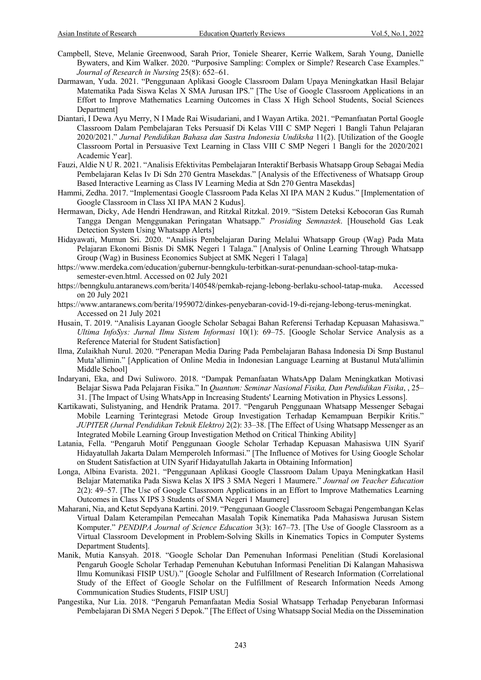- Campbell, Steve, Melanie Greenwood, Sarah Prior, Toniele Shearer, Kerrie Walkem, Sarah Young, Danielle Bywaters, and Kim Walker. 2020. "Purposive Sampling: Complex or Simple? Research Case Examples." *Journal of Research in Nursing* 25(8): 652–61.
- Darmawan, Yuda. 2021. "Penggunaan Aplikasi Google Classroom Dalam Upaya Meningkatkan Hasil Belajar Matematika Pada Siswa Kelas X SMA Jurusan IPS." [The Use of Google Classroom Applications in an Effort to Improve Mathematics Learning Outcomes in Class X High School Students, Social Sciences Department]
- Diantari, I Dewa Ayu Merry, N I Made Rai Wisudariani, and I Wayan Artika. 2021. "Pemanfaatan Portal Google Classroom Dalam Pembelajaran Teks Persuasif Di Kelas VIII C SMP Negeri 1 Bangli Tahun Pelajaran 2020/2021." *Jurnal Pendidikan Bahasa dan Sastra Indonesia Undiksha* 11(2). [Utilization of the Google Classroom Portal in Persuasive Text Learning in Class VIII C SMP Negeri 1 Bangli for the 2020/2021 Academic Year].
- Fauzi, Aldie N U R. 2021. "Analisis Efektivitas Pembelajaran Interaktif Berbasis Whatsapp Group Sebagai Media Pembelajaran Kelas Iv Di Sdn 270 Gentra Masekdas." [Analysis of the Effectiveness of Whatsapp Group Based Interactive Learning as Class IV Learning Media at Sdn 270 Gentra Masekdas]
- Hammi, Zedha. 2017. "Implementasi Google Classroom Pada Kelas XI IPA MAN 2 Kudus." [Implementation of Google Classroom in Class XI IPA MAN 2 Kudus].
- Hermawan, Dicky, Ade Hendri Hendrawan, and Ritzkal Ritzkal. 2019. "Sistem Deteksi Kebocoran Gas Rumah Tangga Dengan Menggunakan Peringatan Whatsapp." *Prosiding Semnastek*. [Household Gas Leak Detection System Using Whatsapp Alerts]
- Hidayawati, Mumun Sri. 2020. "Analisis Pembelajaran Daring Melalui Whatsapp Group (Wag) Pada Mata Pelajaran Ekonomi Bisnis Di SMK Negeri 1 Talaga." [Analysis of Online Learning Through Whatsapp Group (Wag) in Business Economics Subject at SMK Negeri 1 Talaga]
- https://www.merdeka.com/education/gubernur-benngkulu-terbitkan-surat-penundaan-school-tatap-mukasemester-even.html. Accessed on 02 July 2021
- https://benngkulu.antaranews.com/berita/140548/pemkab-rejang-lebong-berlaku-school-tatap-muka. Accessed on 20 July 2021
- https://www.antaranews.com/berita/1959072/dinkes-penyebaran-covid-19-di-rejang-lebong-terus-meningkat. Accessed on 21 July 2021
- Husain, T. 2019. "Analisis Layanan Google Scholar Sebagai Bahan Referensi Terhadap Kepuasan Mahasiswa." *Ultima InfoSys: Jurnal Ilmu Sistem Informasi* 10(1): 69–75. [Google Scholar Service Analysis as a Reference Material for Student Satisfaction]
- Ilma, Zulaikhah Nurul. 2020. "Penerapan Media Daring Pada Pembelajaran Bahasa Indonesia Di Smp Bustanul Muta'allimin." [Application of Online Media in Indonesian Language Learning at Bustanul Muta'allimin Middle School]
- Indaryani, Eka, and Dwi Suliworo. 2018. "Dampak Pemanfaatan WhatsApp Dalam Meningkatkan Motivasi Belajar Siswa Pada Pelajaran Fisika." In *Quantum: Seminar Nasional Fisika, Dan Pendidikan Fisika*, , 25– 31. [The Impact of Using WhatsApp in Increasing Students' Learning Motivation in Physics Lessons].
- Kartikawati, Sulistyaning, and Hendrik Pratama. 2017. "Pengaruh Penggunaan Whatsapp Messenger Sebagai Mobile Learning Terintegrasi Metode Group Investigation Terhadap Kemampuan Berpikir Kritis." *JUPITER (Jurnal Pendidikan Teknik Elektro)* 2(2): 33–38. [The Effect of Using Whatsapp Messenger as an Integrated Mobile Learning Group Investigation Method on Critical Thinking Ability]
- Latania, Fella. "Pengaruh Motif Penggunaan Google Scholar Terhadap Kepuasan Mahasiswa UIN Syarif Hidayatullah Jakarta Dalam Memperoleh Informasi." [The Influence of Motives for Using Google Scholar on Student Satisfaction at UIN Syarif Hidayatullah Jakarta in Obtaining Information]
- Longa, Albina Evarista. 2021. "Penggunaan Aplikasi Google Classroom Dalam Upaya Meningkatkan Hasil Belajar Matematika Pada Siswa Kelas X IPS 3 SMA Negeri 1 Maumere." *Journal on Teacher Education* 2(2): 49–57. [The Use of Google Classroom Applications in an Effort to Improve Mathematics Learning Outcomes in Class X IPS 3 Students of SMA Negeri 1 Maumere]
- Maharani, Nia, and Ketut Sepdyana Kartini. 2019. "Penggunaan Google Classroom Sebagai Pengembangan Kelas Virtual Dalam Keterampilan Pemecahan Masalah Topik Kinematika Pada Mahasiswa Jurusan Sistem Komputer." *PENDIPA Journal of Science Education* 3(3): 167–73. [The Use of Google Classroom as a Virtual Classroom Development in Problem-Solving Skills in Kinematics Topics in Computer Systems Department Students].
- Manik, Mutia Kansyah. 2018. "Google Scholar Dan Pemenuhan Informasi Penelitian (Studi Korelasional Pengaruh Google Scholar Terhadap Pemenuhan Kebutuhan Informasi Penelitian Di Kalangan Mahasiswa Ilmu Komunikasi FISIP USU)." [Google Scholar and Fulfillment of Research Information (Correlational Study of the Effect of Google Scholar on the Fulfillment of Research Information Needs Among Communication Studies Students, FISIP USU]
- Pangestika, Nur Lia. 2018. "Pengaruh Pemanfaatan Media Sosial Whatsapp Terhadap Penyebaran Informasi Pembelajaran Di SMA Negeri 5 Depok." [The Effect of Using Whatsapp Social Media on the Dissemination